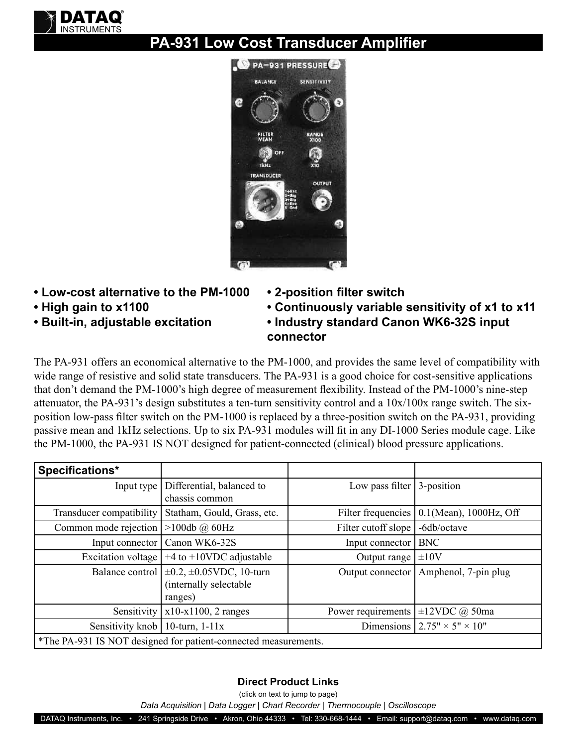

## **PA-931 Low Cost Transducer Amplifier**



- **Low-cost alternative to the PM-1000**
- **High gain to x1100**
- **Built-in, adjustable excitation**
- **2-position filter switch**
- **Continuously variable sensitivity of x1 to x11**
- **Industry standard Canon WK6-32S input connector**

The PA-931 offers an economical alternative to the PM-1000, and provides the same level of compatibility with wide range of resistive and solid state transducers. The PA-931 is a good choice for cost-sensitive applications that don't demand the PM-1000's high degree of measurement flexibility. Instead of the PM-1000's nine-step attenuator, the PA-931's design substitutes a ten-turn sensitivity control and a 10x/100x range switch. The sixposition low-pass filter switch on the PM-1000 is replaced by a three-position switch on the PA-931, providing passive mean and 1kHz selections. Up to six PA-931 modules will fit in any DI-1000 Series module cage. Like the PM-1000, the PA-931 IS NOT designed for patient-connected (clinical) blood pressure applications.

| Specifications*                                                 |                                                                        |                     |                                         |  |
|-----------------------------------------------------------------|------------------------------------------------------------------------|---------------------|-----------------------------------------|--|
| Input type $\vert$                                              | Differential, balanced to<br>chassis common                            | Low pass filter     | 3-position                              |  |
| Transducer compatibility                                        | Statham, Gould, Grass, etc.                                            | Filter frequencies  | $0.1$ (Mean), $1000$ Hz, Off            |  |
| Common mode rejection                                           | $>100db$ @ 60Hz                                                        | Filter cutoff slope | -6db/octave                             |  |
|                                                                 | Input connector   Canon WK6-32S                                        | Input connector     | <b>BNC</b>                              |  |
| Excitation voltage                                              | $+4$ to $+10$ VDC adjustable                                           | Output range        | $\pm 10V$                               |  |
| Balance control                                                 | $\pm 0.2, \pm 0.05$ VDC, 10-turn<br>(internally selectable)<br>ranges) | Output connector    | Amphenol, 7-pin plug                    |  |
| Sensitivity                                                     | $x10-x1100$ , 2 ranges                                                 | Power requirements  | $\pm$ 12VDC @ 50ma                      |  |
| Sensitivity knob   10-turn, $1-11x$                             |                                                                        |                     | Dimensions $2.75" \times 5" \times 10"$ |  |
| *The PA-931 IS NOT designed for patient-connected measurements. |                                                                        |                     |                                         |  |

## **Direct Product Links**

(click on text to jump to page)

*[Data Acquisition](http://www.dataq.com) | [Data Logger](http://www.dataq.com/data-logger/data-logger.html) | [Chart Recorder |](http://www.dataq.com/c_cr) [Thermocouple](http://www.dataq.com/products/hardware/di1000tc.htm) | [Oscilloscope](http://www.dataq.com/products/hardware/oscilloscope.htm)*